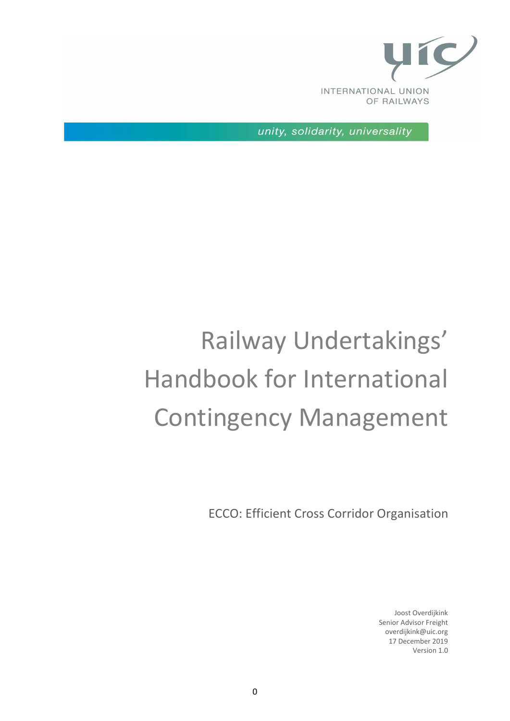

unity, solidarity, universality

# Railway Undertakings' Handbook for International Contingency Management

ECCO: Efficient Cross Corridor Organisation

Joost Overdijkink Senior Advisor Freight overdijkink@uic.org 17 December 2019 Version 1.0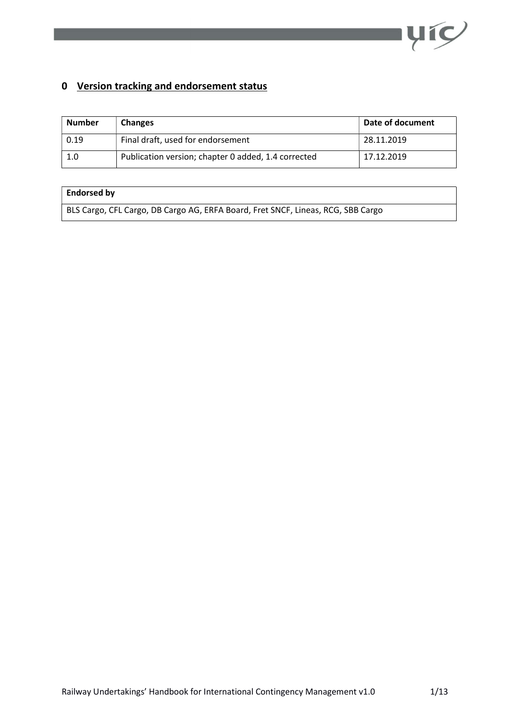

# 0 Version tracking and endorsement status

| <b>Number</b> | <b>Changes</b>                                      | Date of document |
|---------------|-----------------------------------------------------|------------------|
| 0.19          | Final draft, used for endorsement                   | 28.11.2019       |
| 1.0           | Publication version; chapter 0 added, 1.4 corrected | 17.12.2019       |

# Endorsed by

BLS Cargo, CFL Cargo, DB Cargo AG, ERFA Board, Fret SNCF, Lineas, RCG, SBB Cargo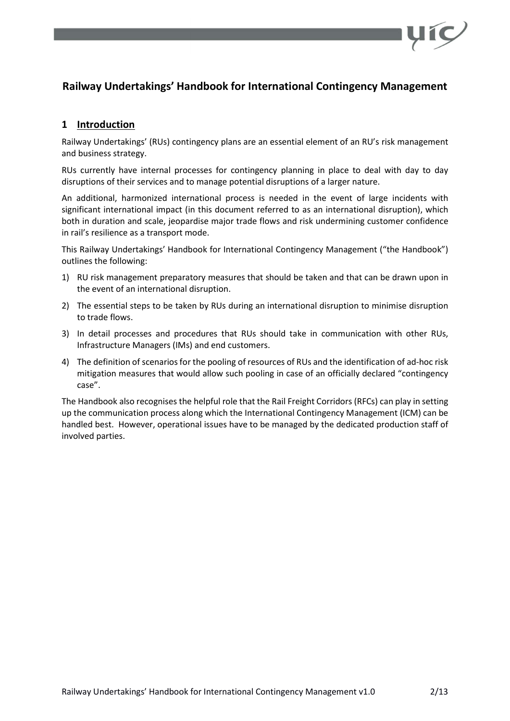

# Railway Undertakings' Handbook for International Contingency Management

# 1 Introduction

Railway Undertakings' (RUs) contingency plans are an essential element of an RU's risk management and business strategy.

RUs currently have internal processes for contingency planning in place to deal with day to day disruptions of their services and to manage potential disruptions of a larger nature.

An additional, harmonized international process is needed in the event of large incidents with significant international impact (in this document referred to as an international disruption), which both in duration and scale, jeopardise major trade flows and risk undermining customer confidence in rail's resilience as a transport mode.

This Railway Undertakings' Handbook for International Contingency Management ("the Handbook") outlines the following:

- 1) RU risk management preparatory measures that should be taken and that can be drawn upon in the event of an international disruption.
- 2) The essential steps to be taken by RUs during an international disruption to minimise disruption to trade flows.
- 3) In detail processes and procedures that RUs should take in communication with other RUs, Infrastructure Managers (IMs) and end customers.
- 4) The definition of scenarios for the pooling of resources of RUs and the identification of ad-hoc risk mitigation measures that would allow such pooling in case of an officially declared "contingency case".

The Handbook also recognises the helpful role that the Rail Freight Corridors (RFCs) can play in setting up the communication process along which the International Contingency Management (ICM) can be handled best. However, operational issues have to be managed by the dedicated production staff of involved parties.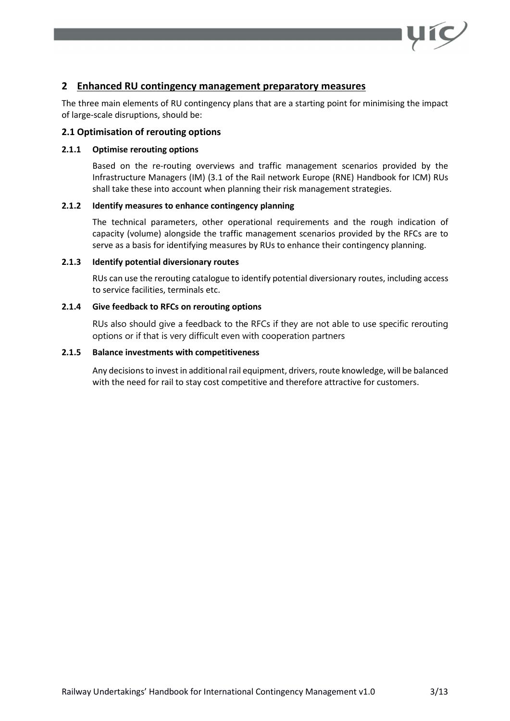

# 2 Enhanced RU contingency management preparatory measures

The three main elements of RU contingency plans that are a starting point for minimising the impact of large-scale disruptions, should be:

#### 2.1 Optimisation of rerouting options

#### 2.1.1 Optimise rerouting options

Based on the re-routing overviews and traffic management scenarios provided by the Infrastructure Managers (IM) (3.1 of the Rail network Europe (RNE) Handbook for ICM) RUs shall take these into account when planning their risk management strategies.

#### 2.1.2 Identify measures to enhance contingency planning

The technical parameters, other operational requirements and the rough indication of capacity (volume) alongside the traffic management scenarios provided by the RFCs are to serve as a basis for identifying measures by RUs to enhance their contingency planning.

#### 2.1.3 Identify potential diversionary routes

RUs can use the rerouting catalogue to identify potential diversionary routes, including access to service facilities, terminals etc.

#### 2.1.4 Give feedback to RFCs on rerouting options

RUs also should give a feedback to the RFCs if they are not able to use specific rerouting options or if that is very difficult even with cooperation partners

#### 2.1.5 Balance investments with competitiveness

Any decisions to invest in additional rail equipment, drivers, route knowledge, will be balanced with the need for rail to stay cost competitive and therefore attractive for customers.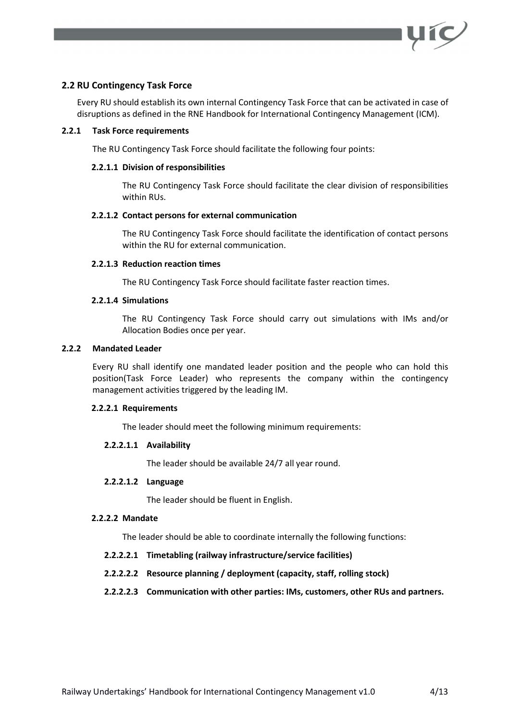

# 2.2 RU Contingency Task Force

Every RU should establish its own internal Contingency Task Force that can be activated in case of disruptions as defined in the RNE Handbook for International Contingency Management (ICM).

#### 2.2.1 Task Force requirements

The RU Contingency Task Force should facilitate the following four points:

#### 2.2.1.1 Division of responsibilities

The RU Contingency Task Force should facilitate the clear division of responsibilities within RUs.

#### 2.2.1.2 Contact persons for external communication

The RU Contingency Task Force should facilitate the identification of contact persons within the RU for external communication.

#### 2.2.1.3 Reduction reaction times

The RU Contingency Task Force should facilitate faster reaction times.

#### 2.2.1.4 Simulations

The RU Contingency Task Force should carry out simulations with IMs and/or Allocation Bodies once per year.

#### 2.2.2 Mandated Leader

Every RU shall identify one mandated leader position and the people who can hold this position(Task Force Leader) who represents the company within the contingency management activities triggered by the leading IM.

#### 2.2.2.1 Requirements

The leader should meet the following minimum requirements:

#### 2.2.2.1.1 Availability

The leader should be available 24/7 all year round.

#### 2.2.2.1.2 Language

The leader should be fluent in English.

#### 2.2.2.2 Mandate

The leader should be able to coordinate internally the following functions:

- 2.2.2.2.1 Timetabling (railway infrastructure/service facilities)
- 2.2.2.2.2 Resource planning / deployment (capacity, staff, rolling stock)
- 2.2.2.2.3 Communication with other parties: IMs, customers, other RUs and partners.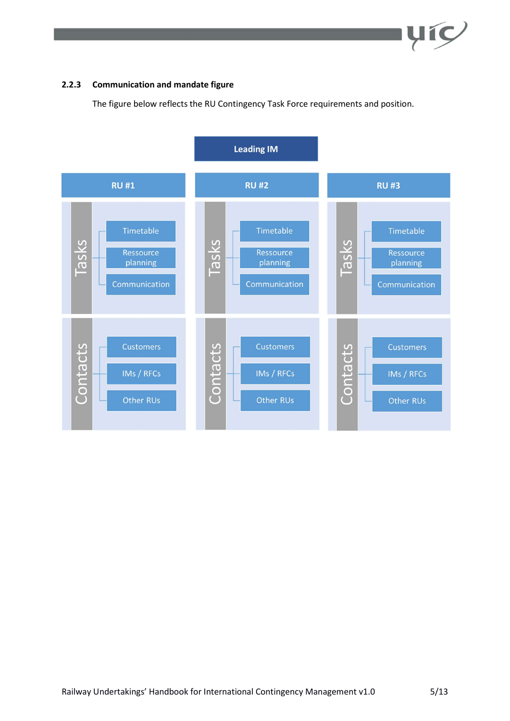

#### 2.2.3 Communication and mandate figure

The figure below reflects the RU Contingency Task Force requirements and position.

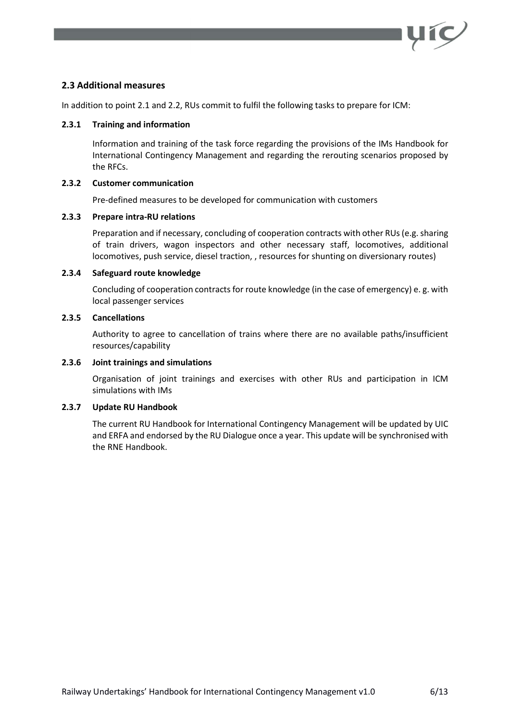

#### 2.3 Additional measures

In addition to point 2.1 and 2.2, RUs commit to fulfil the following tasks to prepare for ICM:

#### 2.3.1 Training and information

Information and training of the task force regarding the provisions of the IMs Handbook for International Contingency Management and regarding the rerouting scenarios proposed by the RFCs.

#### 2.3.2 Customer communication

Pre-defined measures to be developed for communication with customers

#### 2.3.3 Prepare intra-RU relations

Preparation and if necessary, concluding of cooperation contracts with other RUs (e.g. sharing of train drivers, wagon inspectors and other necessary staff, locomotives, additional locomotives, push service, diesel traction, , resources for shunting on diversionary routes)

#### 2.3.4 Safeguard route knowledge

Concluding of cooperation contracts for route knowledge (in the case of emergency) e. g. with local passenger services

#### 2.3.5 Cancellations

Authority to agree to cancellation of trains where there are no available paths/insufficient resources/capability

#### 2.3.6 Joint trainings and simulations

Organisation of joint trainings and exercises with other RUs and participation in ICM simulations with IMs

#### 2.3.7 Update RU Handbook

The current RU Handbook for International Contingency Management will be updated by UIC and ERFA and endorsed by the RU Dialogue once a year. This update will be synchronised with the RNE Handbook.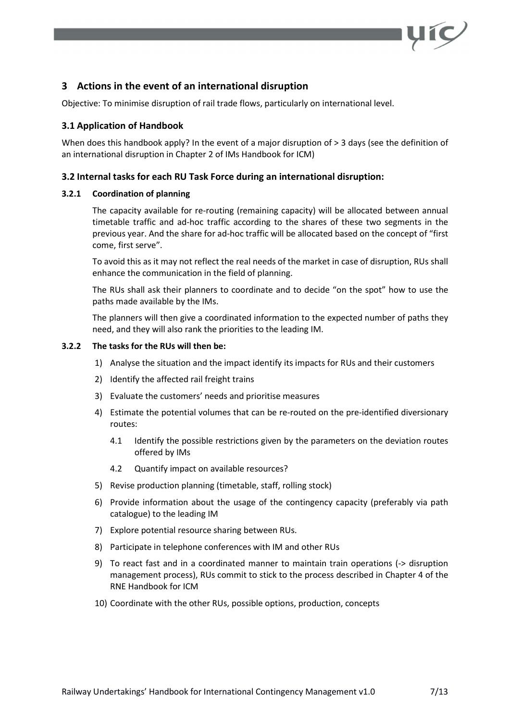

# 3 Actions in the event of an international disruption

Objective: To minimise disruption of rail trade flows, particularly on international level.

#### 3.1 Application of Handbook

When does this handbook apply? In the event of a major disruption of > 3 days (see the definition of an international disruption in Chapter 2 of IMs Handbook for ICM)

#### 3.2 Internal tasks for each RU Task Force during an international disruption:

#### 3.2.1 Coordination of planning

The capacity available for re-routing (remaining capacity) will be allocated between annual timetable traffic and ad-hoc traffic according to the shares of these two segments in the previous year. And the share for ad-hoc traffic will be allocated based on the concept of "first come, first serve".

To avoid this as it may not reflect the real needs of the market in case of disruption, RUs shall enhance the communication in the field of planning.

The RUs shall ask their planners to coordinate and to decide "on the spot" how to use the paths made available by the IMs.

The planners will then give a coordinated information to the expected number of paths they need, and they will also rank the priorities to the leading IM.

#### 3.2.2 The tasks for the RUs will then be:

- 1) Analyse the situation and the impact identify its impacts for RUs and their customers
- 2) Identify the affected rail freight trains
- 3) Evaluate the customers' needs and prioritise measures
- 4) Estimate the potential volumes that can be re-routed on the pre-identified diversionary routes:
	- 4.1 Identify the possible restrictions given by the parameters on the deviation routes offered by IMs
	- 4.2 Quantify impact on available resources?
- 5) Revise production planning (timetable, staff, rolling stock)
- 6) Provide information about the usage of the contingency capacity (preferably via path catalogue) to the leading IM
- 7) Explore potential resource sharing between RUs.
- 8) Participate in telephone conferences with IM and other RUs
- 9) To react fast and in a coordinated manner to maintain train operations (-> disruption management process), RUs commit to stick to the process described in Chapter 4 of the RNE Handbook for ICM
- 10) Coordinate with the other RUs, possible options, production, concepts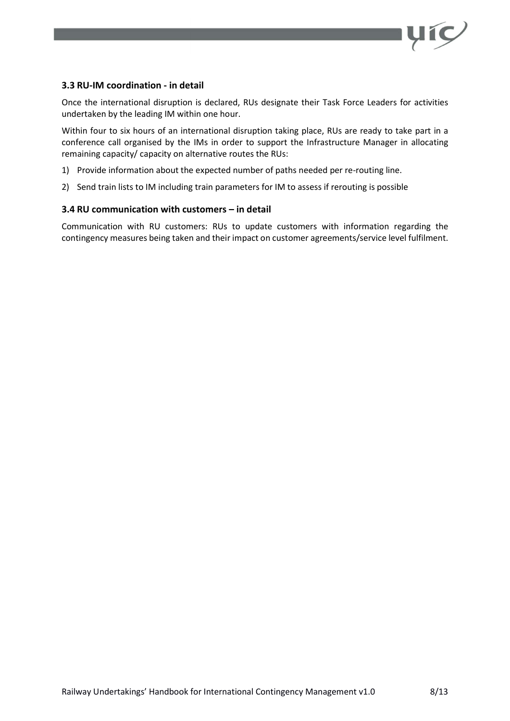

### 3.3 RU-IM coordination - in detail

Once the international disruption is declared, RUs designate their Task Force Leaders for activities undertaken by the leading IM within one hour.

Within four to six hours of an international disruption taking place, RUs are ready to take part in a conference call organised by the IMs in order to support the Infrastructure Manager in allocating remaining capacity/ capacity on alternative routes the RUs:

- 1) Provide information about the expected number of paths needed per re-routing line.
- 2) Send train lists to IM including train parameters for IM to assess if rerouting is possible

#### 3.4 RU communication with customers – in detail

Communication with RU customers: RUs to update customers with information regarding the contingency measures being taken and their impact on customer agreements/service level fulfilment.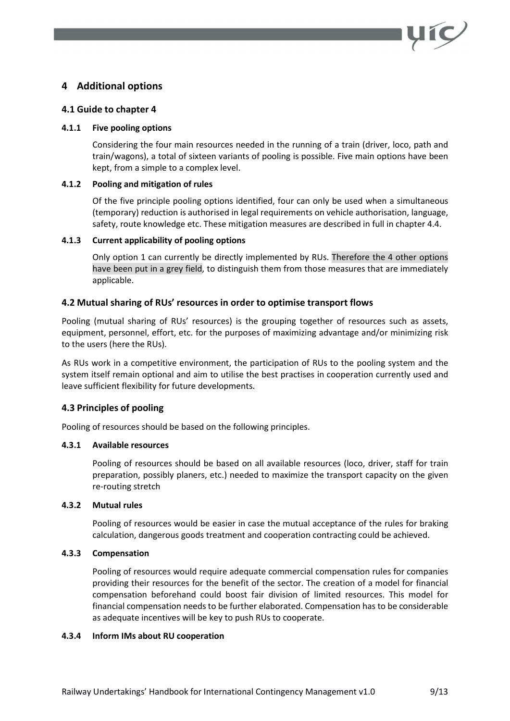# 4 Additional options

#### 4.1 Guide to chapter 4

#### 4.1.1 Five pooling options

Considering the four main resources needed in the running of a train (driver, loco, path and train/wagons), a total of sixteen variants of pooling is possible. Five main options have been kept, from a simple to a complex level.

#### 4.1.2 Pooling and mitigation of rules

Of the five principle pooling options identified, four can only be used when a simultaneous (temporary) reduction is authorised in legal requirements on vehicle authorisation, language, safety, route knowledge etc. These mitigation measures are described in full in chapter 4.4.

#### 4.1.3 Current applicability of pooling options

Only option 1 can currently be directly implemented by RUs. Therefore the 4 other options have been put in a grey field, to distinguish them from those measures that are immediately applicable.

#### 4.2 Mutual sharing of RUs' resources in order to optimise transport flows

Pooling (mutual sharing of RUs' resources) is the grouping together of resources such as assets, equipment, personnel, effort, etc. for the purposes of maximizing advantage and/or minimizing risk to the users (here the RUs).

As RUs work in a competitive environment, the participation of RUs to the pooling system and the system itself remain optional and aim to utilise the best practises in cooperation currently used and leave sufficient flexibility for future developments.

#### 4.3 Principles of pooling

Pooling of resources should be based on the following principles.

#### 4.3.1 Available resources

Pooling of resources should be based on all available resources (loco, driver, staff for train preparation, possibly planers, etc.) needed to maximize the transport capacity on the given re-routing stretch

#### 4.3.2 Mutual rules

Pooling of resources would be easier in case the mutual acceptance of the rules for braking calculation, dangerous goods treatment and cooperation contracting could be achieved.

#### 4.3.3 Compensation

Pooling of resources would require adequate commercial compensation rules for companies providing their resources for the benefit of the sector. The creation of a model for financial compensation beforehand could boost fair division of limited resources. This model for financial compensation needs to be further elaborated. Compensation has to be considerable as adequate incentives will be key to push RUs to cooperate.

#### 4.3.4 Inform IMs about RU cooperation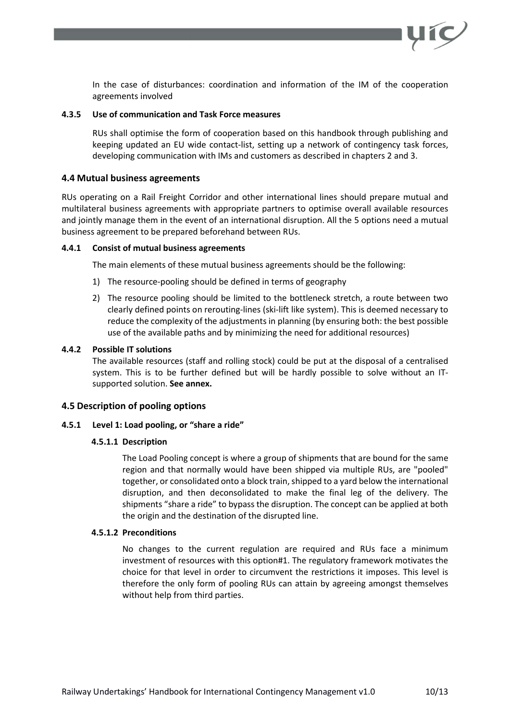In the case of disturbances: coordination and information of the IM of the cooperation agreements involved

#### 4.3.5 Use of communication and Task Force measures

RUs shall optimise the form of cooperation based on this handbook through publishing and keeping updated an EU wide contact-list, setting up a network of contingency task forces, developing communication with IMs and customers as described in chapters 2 and 3.

#### 4.4 Mutual business agreements

RUs operating on a Rail Freight Corridor and other international lines should prepare mutual and multilateral business agreements with appropriate partners to optimise overall available resources and jointly manage them in the event of an international disruption. All the 5 options need a mutual business agreement to be prepared beforehand between RUs.

#### 4.4.1 Consist of mutual business agreements

The main elements of these mutual business agreements should be the following:

- 1) The resource-pooling should be defined in terms of geography
- 2) The resource pooling should be limited to the bottleneck stretch, a route between two clearly defined points on rerouting-lines (ski-lift like system). This is deemed necessary to reduce the complexity of the adjustments in planning (by ensuring both: the best possible use of the available paths and by minimizing the need for additional resources)

#### 4.4.2 Possible IT solutions

The available resources (staff and rolling stock) could be put at the disposal of a centralised system. This is to be further defined but will be hardly possible to solve without an ITsupported solution. See annex.

#### 4.5 Description of pooling options

#### 4.5.1 Level 1: Load pooling, or "share a ride"

#### 4.5.1.1 Description

The Load Pooling concept is where a group of shipments that are bound for the same region and that normally would have been shipped via multiple RUs, are "pooled" together, or consolidated onto a block train, shipped to a yard below the international disruption, and then deconsolidated to make the final leg of the delivery. The shipments "share a ride" to bypass the disruption. The concept can be applied at both the origin and the destination of the disrupted line.

#### 4.5.1.2 Preconditions

No changes to the current regulation are required and RUs face a minimum investment of resources with this option#1. The regulatory framework motivates the choice for that level in order to circumvent the restrictions it imposes. This level is therefore the only form of pooling RUs can attain by agreeing amongst themselves without help from third parties.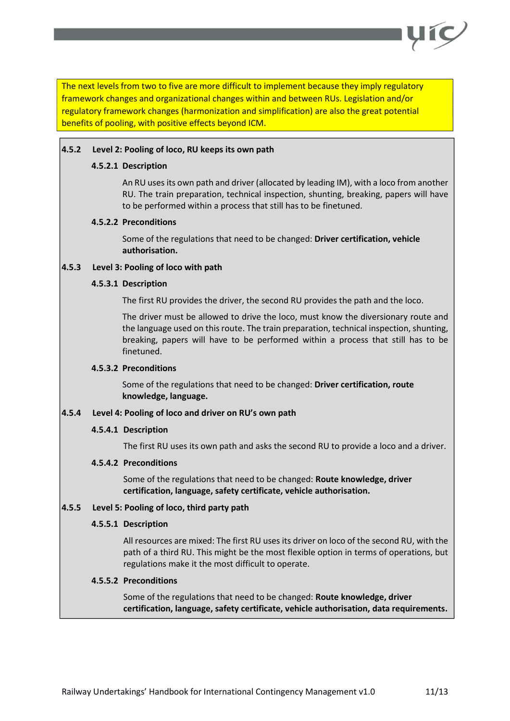The next levels from two to five are more difficult to implement because they imply regulatory framework changes and organizational changes within and between RUs. Legislation and/or regulatory framework changes (harmonization and simplification) are also the great potential benefits of pooling, with positive effects beyond ICM.

#### 4.5.2 Level 2: Pooling of loco, RU keeps its own path

#### 4.5.2.1 Description

An RU uses its own path and driver (allocated by leading IM), with a loco from another RU. The train preparation, technical inspection, shunting, breaking, papers will have to be performed within a process that still has to be finetuned.

#### 4.5.2.2 Preconditions

Some of the regulations that need to be changed: Driver certification, vehicle authorisation.

#### 4.5.3 Level 3: Pooling of loco with path

#### 4.5.3.1 Description

The first RU provides the driver, the second RU provides the path and the loco.

The driver must be allowed to drive the loco, must know the diversionary route and the language used on this route. The train preparation, technical inspection, shunting, breaking, papers will have to be performed within a process that still has to be finetuned.

#### 4.5.3.2 Preconditions

Some of the regulations that need to be changed: Driver certification, route knowledge, language.

#### 4.5.4 Level 4: Pooling of loco and driver on RU's own path

#### 4.5.4.1 Description

The first RU uses its own path and asks the second RU to provide a loco and a driver.

#### 4.5.4.2 Preconditions

Some of the regulations that need to be changed: Route knowledge, driver certification, language, safety certificate, vehicle authorisation.

#### 4.5.5 Level 5: Pooling of loco, third party path

#### 4.5.5.1 Description

All resources are mixed: The first RU uses its driver on loco of the second RU, with the path of a third RU. This might be the most flexible option in terms of operations, but regulations make it the most difficult to operate.

#### 4.5.5.2 Preconditions

Some of the regulations that need to be changed: Route knowledge, driver certification, language, safety certificate, vehicle authorisation, data requirements.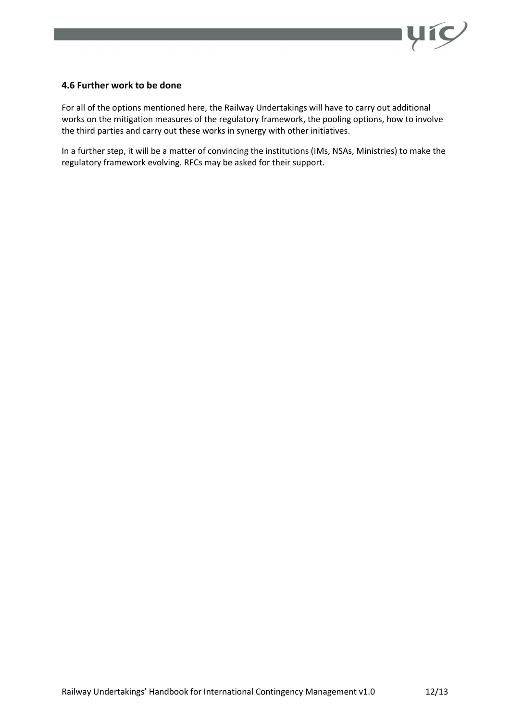

# 4.6 Further work to be done

For all of the options mentioned here, the Railway Undertakings will have to carry out additional works on the mitigation measures of the regulatory framework, the pooling options, how to involve the third parties and carry out these works in synergy with other initiatives.

In a further step, it will be a matter of convincing the institutions (IMs, NSAs, Ministries) to make the regulatory framework evolving. RFCs may be asked for their support.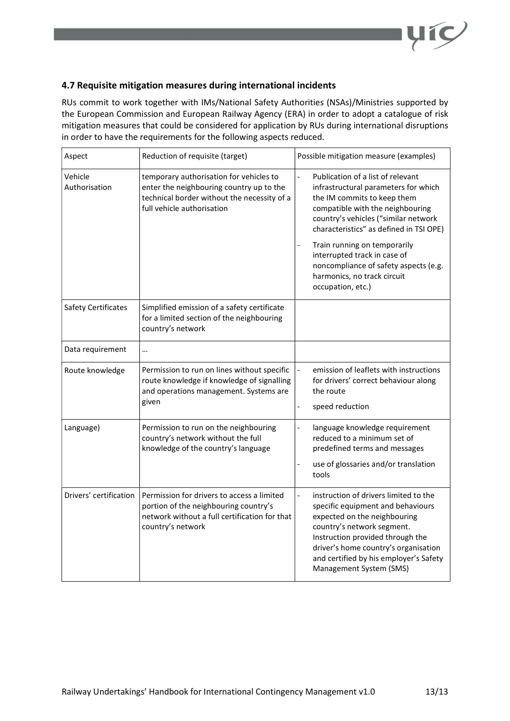

# 4.7 Requisite mitigation measures during international incidents

RUs commit to work together with IMs/National Safety Authorities (NSAs)/Ministries supported by the European Commission and European Railway Agency (ERA) in order to adopt a catalogue of risk mitigation measures that could be considered for application by RUs during international disruptions in order to have the requirements for the following aspects reduced.

| Aspect                     | Reduction of requisite (target)                                                                                                                                  | Possible mitigation measure (examples)                                                                                                                                                                                                                                                    |
|----------------------------|------------------------------------------------------------------------------------------------------------------------------------------------------------------|-------------------------------------------------------------------------------------------------------------------------------------------------------------------------------------------------------------------------------------------------------------------------------------------|
| Vehicle<br>Authorisation   | temporary authorisation for vehicles to<br>enter the neighbouring country up to the<br>technical border without the necessity of a<br>full vehicle authorisation | Publication of a list of relevant<br>$\overline{a}$<br>infrastructural parameters for which<br>the IM commits to keep them<br>compatible with the neighbouring<br>country's vehicles ("similar network<br>characteristics" as defined in TSI OPE)<br>Train running on temporarily         |
|                            |                                                                                                                                                                  | interrupted track in case of<br>noncompliance of safety aspects (e.g.<br>harmonics, no track circuit<br>occupation, etc.)                                                                                                                                                                 |
| <b>Safety Certificates</b> | Simplified emission of a safety certificate<br>for a limited section of the neighbouring<br>country's network                                                    |                                                                                                                                                                                                                                                                                           |
| Data requirement           | $\cdots$                                                                                                                                                         |                                                                                                                                                                                                                                                                                           |
| Route knowledge            | Permission to run on lines without specific<br>route knowledge if knowledge of signalling<br>and operations management. Systems are<br>given                     | emission of leaflets with instructions<br>for drivers' correct behaviour along<br>the route<br>speed reduction<br>$\overline{a}$                                                                                                                                                          |
| Language)                  | Permission to run on the neighbouring<br>country's network without the full<br>knowledge of the country's language                                               | $\overline{a}$<br>language knowledge requirement<br>reduced to a minimum set of<br>predefined terms and messages                                                                                                                                                                          |
|                            |                                                                                                                                                                  | use of glossaries and/or translation<br>tools                                                                                                                                                                                                                                             |
| Drivers' certification     | Permission for drivers to access a limited<br>portion of the neighbouring country's<br>network without a full certification for that<br>country's network        | instruction of drivers limited to the<br>specific equipment and behaviours<br>expected on the neighbouring<br>country's network segment.<br>Instruction provided through the<br>driver's home country's organisation<br>and certified by his employer's Safety<br>Management System (SMS) |